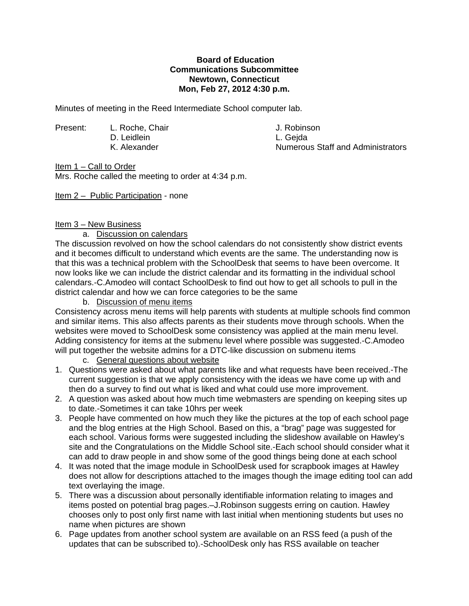## **Board of Education Communications Subcommittee Newtown, Connecticut Mon, Feb 27, 2012 4:30 p.m.**

Minutes of meeting in the Reed Intermediate School computer lab.

Present: L. Roche, Chair J. Robinson D. Leidlein L. Gejda

Numerous Staff and Administrators

Item 1 – Call to Order

Mrs. Roche called the meeting to order at 4:34 p.m.

Item 2 – Public Participation - none

# Item 3 – New Business

#### a. Discussion on calendars

The discussion revolved on how the school calendars do not consistently show district events and it becomes difficult to understand which events are the same. The understanding now is that this was a technical problem with the SchoolDesk that seems to have been overcome. It now looks like we can include the district calendar and its formatting in the individual school calendars.-C.Amodeo will contact SchoolDesk to find out how to get all schools to pull in the district calendar and how we can force categories to be the same

## b. Discussion of menu items

Consistency across menu items will help parents with students at multiple schools find common and similar items. This also affects parents as their students move through schools. When the websites were moved to SchoolDesk some consistency was applied at the main menu level. Adding consistency for items at the submenu level where possible was suggested.-C.Amodeo will put together the website admins for a DTC-like discussion on submenu items

- c. General questions about website
- 1. Questions were asked about what parents like and what requests have been received.-The current suggestion is that we apply consistency with the ideas we have come up with and then do a survey to find out what is liked and what could use more improvement.
- 2. A question was asked about how much time webmasters are spending on keeping sites up to date.-Sometimes it can take 10hrs per week
- 3. People have commented on how much they like the pictures at the top of each school page and the blog entries at the High School. Based on this, a "brag" page was suggested for each school. Various forms were suggested including the slideshow available on Hawley's site and the Congratulations on the Middle School site.-Each school should consider what it can add to draw people in and show some of the good things being done at each school
- 4. It was noted that the image module in SchoolDesk used for scrapbook images at Hawley does not allow for descriptions attached to the images though the image editing tool can add text overlaying the image.
- 5. There was a discussion about personally identifiable information relating to images and items posted on potential brag pages.–J.Robinson suggests erring on caution. Hawley chooses only to post only first name with last initial when mentioning students but uses no name when pictures are shown
- 6. Page updates from another school system are available on an RSS feed (a push of the updates that can be subscribed to).-SchoolDesk only has RSS available on teacher